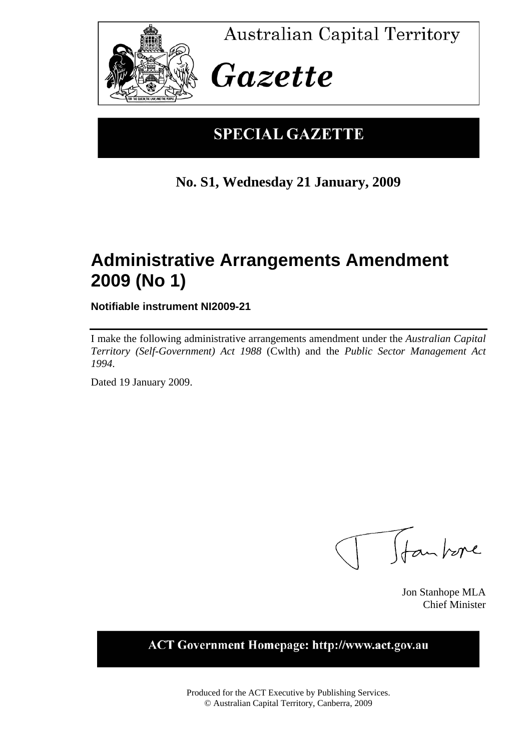

**Australian Capital Territory** 

# Gazette

### **SPECIAL GAZETTE**

### **No. S1, Wednesday 21 January, 2009**

### **Administrative Arrangements Amendment 2009 (No 1)**

**Notifiable instrument NI2009-21** 

I make the following administrative arrangements amendment under the *Australian Capital Territory (Self-Government) Act 1988* (Cwlth) and the *Public Sector Management Act 1994*.

Dated 19 January 2009.

Trankere

Jon Stanhope MLA Chief Minister

**ACT Government Homepage: http://www.act.gov.au** 

Produced for the ACT Executive by Publishing Services. © Australian Capital Territory, Canberra, 2009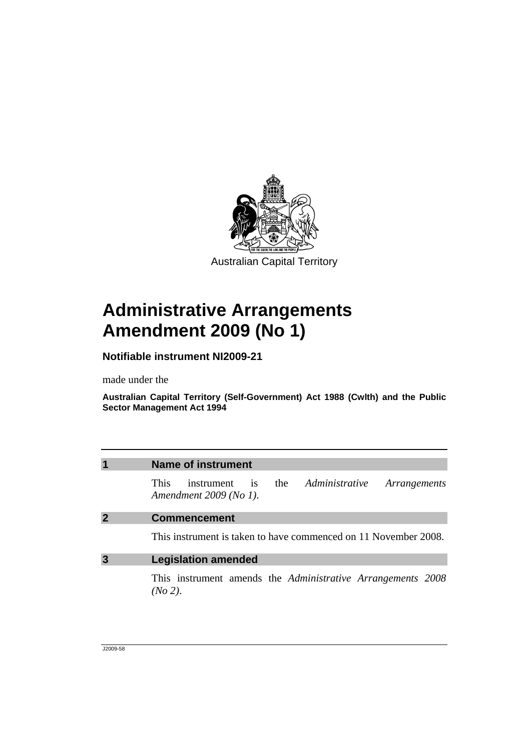

## **Administrative Arrangements Amendment 2009 (No 1)**

#### **Notifiable instrument NI2009-21**

made under the

**Australian Capital Territory (Self-Government) Act 1988 (Cwlth) and the Public Sector Management Act 1994** 

| $\overline{\mathbf{1}}$ | Name of instrument                                                                              |  |  |  |  |
|-------------------------|-------------------------------------------------------------------------------------------------|--|--|--|--|
|                         | the <i>Administrative</i><br>This.<br>instrument is<br>Arrangements<br>Amendment $2009$ (No 1). |  |  |  |  |
| $\overline{2}$          | <b>Commencement</b>                                                                             |  |  |  |  |
|                         | This instrument is taken to have commenced on 11 November 2008.                                 |  |  |  |  |
| $\overline{3}$          | <b>Legislation amended</b>                                                                      |  |  |  |  |
|                         | This instrument amends the <i>Administrative Arrangements</i> 2008<br>(No 2).                   |  |  |  |  |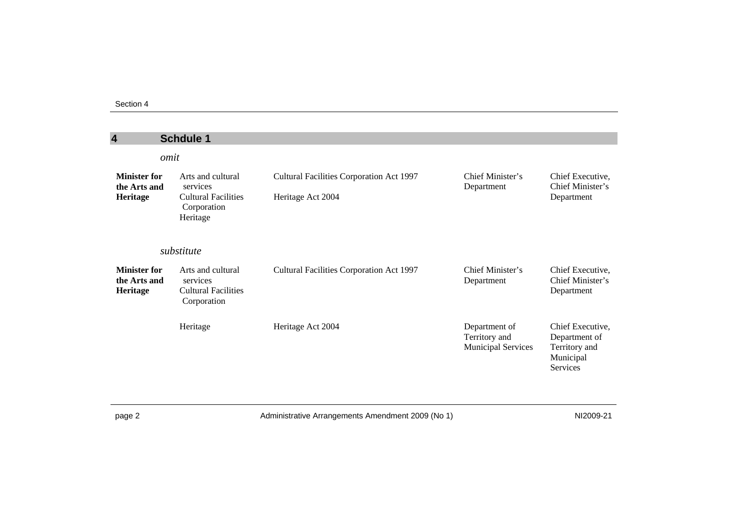| 4                                               | <b>Schdule 1</b>                                                                       |                                                               |                                                             |                                                                                    |  |  |
|-------------------------------------------------|----------------------------------------------------------------------------------------|---------------------------------------------------------------|-------------------------------------------------------------|------------------------------------------------------------------------------------|--|--|
|                                                 | omit                                                                                   |                                                               |                                                             |                                                                                    |  |  |
| <b>Minister for</b><br>the Arts and<br>Heritage | Arts and cultural<br>services<br><b>Cultural Facilities</b><br>Corporation<br>Heritage | Cultural Facilities Corporation Act 1997<br>Heritage Act 2004 | Chief Minister's<br>Department                              | Chief Executive,<br>Chief Minister's<br>Department                                 |  |  |
| substitute                                      |                                                                                        |                                                               |                                                             |                                                                                    |  |  |
| <b>Minister for</b><br>the Arts and<br>Heritage | Arts and cultural<br>services<br><b>Cultural Facilities</b><br>Corporation             | Cultural Facilities Corporation Act 1997                      | Chief Minister's<br>Department                              | Chief Executive,<br>Chief Minister's<br>Department                                 |  |  |
|                                                 | Heritage                                                                               | Heritage Act 2004                                             | Department of<br>Territory and<br><b>Municipal Services</b> | Chief Executive,<br>Department of<br>Territory and<br>Municipal<br><b>Services</b> |  |  |

page 2 **Administrative Arrangements Amendment 2009 (No 1)** NI2009-21